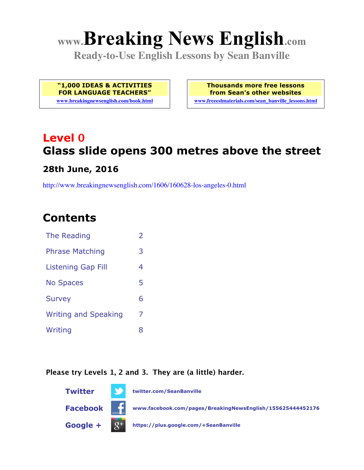# **www.Breaking News English.com**

**Ready-to-Use English Lessons by Sean Banville**

**"1,000 IDEAS & ACTIVITIES FOR LANGUAGE TEACHERS"**

**www.breakingnewsenglish.com/book.html**

**Thousands more free lessons from Sean's other websites www.freeeslmaterials.com/sean\_banville\_lessons.html**

## **Level 0 Glass slide opens 300 metres above the street**

#### **28th June, 2016**

http://www.breakingnewsenglish.com/1606/160628-los-angeles-0.html

### **Contents**

| The Reading                 | $\overline{2}$ |
|-----------------------------|----------------|
| <b>Phrase Matching</b>      | 3              |
| <b>Listening Gap Fill</b>   | 4              |
| <b>No Spaces</b>            | 5              |
| <b>Survey</b>               | 6              |
| <b>Writing and Speaking</b> | 7              |
| Writing                     | 8              |
|                             |                |

#### **Please try Levels 1, 2 and 3. They are (a little) harder.**

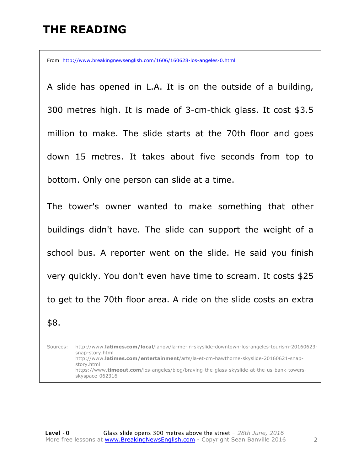### **THE READING**

From http://www.breakingnewsenglish.com/1606/160628-los-angeles-0.html

A slide has opened in L.A. It is on the outside of a building, 300 metres high. It is made of 3-cm-thick glass. It cost \$3.5 million to make. The slide starts at the 70th floor and goes down 15 metres. It takes about five seconds from top to bottom. Only one person can slide at a time.

The tower's owner wanted to make something that other buildings didn't have. The slide can support the weight of a school bus. A reporter went on the slide. He said you finish very quickly. You don't even have time to scream. It costs \$25 to get to the 70th floor area. A ride on the slide costs an extra \$8.

Sources: http://www.**latimes.com/local**/lanow/la-me-ln-skyslide-downtown-los-angeles-tourism-20160623 snap-story.html http://www.**latimes.com/entertainment**/arts/la-et-cm-hawthorne-skyslide-20160621-snapstory.html https://www**.timeout.com**/los-angeles/blog/braving-the-glass-skyslide-at-the-us-bank-towersskyspace-062316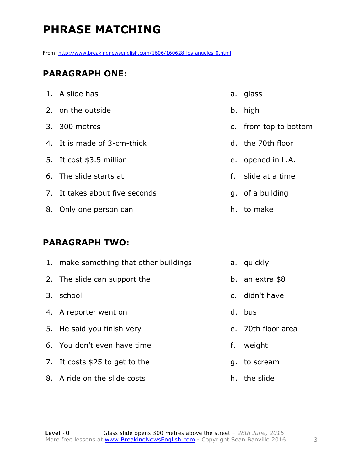### **PHRASE MATCHING**

From http://www.breakingnewsenglish.com/1606/160628-los-angeles-0.html

#### **PARAGRAPH ONE:**

| 1. A slide has                 | a. glass              |
|--------------------------------|-----------------------|
| 2. on the outside              | b. high               |
| 3. 300 metres                  | c. from top to bottom |
| 4. It is made of 3-cm-thick    | d. the 70th floor     |
| 5. It cost \$3.5 million       | e. opened in L.A.     |
| 6. The slide starts at         | f. slide at a time    |
| 7. It takes about five seconds | g. of a building      |
| 8. Only one person can         | h. to make            |
|                                |                       |

#### **PARAGRAPH TWO:**

| 1. make something that other buildings |    | a. quickly         |
|----------------------------------------|----|--------------------|
| 2. The slide can support the           |    | b. an extra $$8$   |
| 3. school                              |    | c. didn't have     |
| 4. A reporter went on                  |    | d. bus             |
| 5. He said you finish very             |    | e. 70th floor area |
| 6. You don't even have time            | f. | weight             |
| 7. It costs \$25 to get to the         |    | g. to scream       |
| 8. A ride on the slide costs           |    | h. the slide       |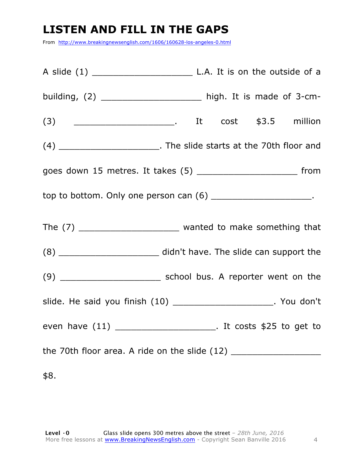### **LISTEN AND FILL IN THE GAPS**

From http://www.breakingnewsenglish.com/1606/160628-los-angeles-0.html

| building, $(2)$ __________________________ high. It is made of 3-cm-             |  |  |  |  |
|----------------------------------------------------------------------------------|--|--|--|--|
|                                                                                  |  |  |  |  |
| (4) __________________________. The slide starts at the 70th floor and           |  |  |  |  |
| goes down 15 metres. It takes (5) ___________________________ from               |  |  |  |  |
| top to bottom. Only one person can $(6)$ _______________________.                |  |  |  |  |
|                                                                                  |  |  |  |  |
| (8) ___________________________ didn't have. The slide can support the           |  |  |  |  |
|                                                                                  |  |  |  |  |
| slide. He said you finish (10) _______________________. You don't                |  |  |  |  |
| even have (11) ___________________________. It costs \$25 to get to              |  |  |  |  |
| the 70th floor area. A ride on the slide (12) __________________________________ |  |  |  |  |
| \$8.                                                                             |  |  |  |  |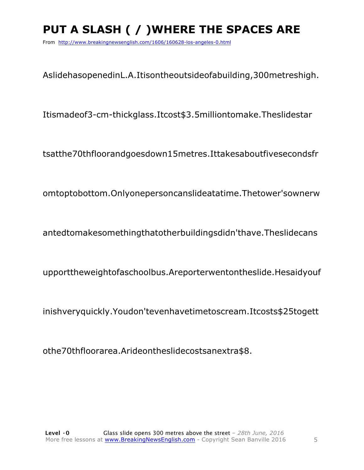### PUT A SLASH ( / ) WHERE THE SPACES ARE

From http://www.breakingnewsenglish.com/1606/160628-los-angeles-0.html

AslidehasopenedinL.A.Itisontheoutsideofabuilding, 300metreshigh.

Itismadeof3-cm-thickglass.Itcost\$3.5milliontomake.Theslidestar

tsatthe70thfloorandgoesdown15metres.Ittakesaboutfivesecondsfr

omtoptobottom.Onlyonepersoncanslideatatime.Thetower'sownerw

antedtomakesomethingthatotherbuildingsdidn'thave.Theslidecans

upporttheweightofaschoolbus.Areporterwentontheslide.Hesaidyouf

inishveryquickly. Youdon'tevenhavetimetoscream. Itcosts\$25togett

othe70thfloorarea.Arideontheslidecostsanextra\$8.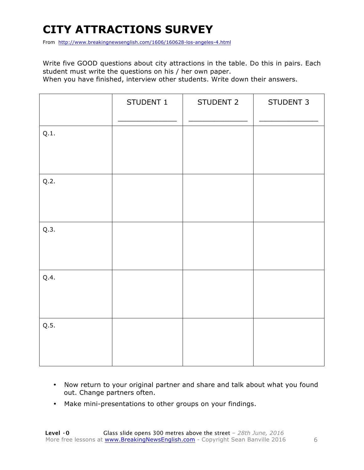### **CITY ATTRACTIONS SURVEY**

From http://www.breakingnewsenglish.com/1606/160628-los-angeles-4.html

Write five GOOD questions about city attractions in the table. Do this in pairs. Each student must write the questions on his / her own paper.

When you have finished, interview other students. Write down their answers.

|      | STUDENT 1 | STUDENT 2 | STUDENT 3 |
|------|-----------|-----------|-----------|
| Q.1. |           |           |           |
| Q.2. |           |           |           |
| Q.3. |           |           |           |
| Q.4. |           |           |           |
| Q.5. |           |           |           |

- Now return to your original partner and share and talk about what you found out. Change partners often.
- Make mini-presentations to other groups on your findings.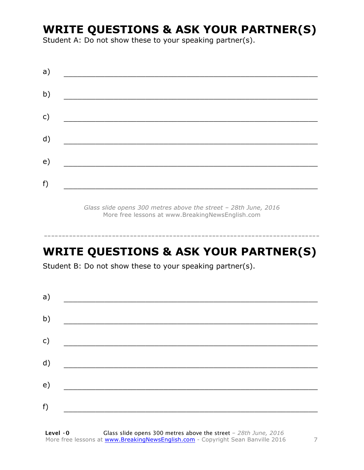### **WRITE QUESTIONS & ASK YOUR PARTNER(S)**

Student A: Do not show these to your speaking partner(s).

| a) |  |
|----|--|
| b) |  |
| c) |  |
| d) |  |
| e) |  |
| f) |  |
|    |  |

*Glass slide opens 300 metres above the street – 28th June, 2016* More free lessons at www.BreakingNewsEnglish.com

### **WRITE QUESTIONS & ASK YOUR PARTNER(S)**

-----------------------------------------------------------------------------

Student B: Do not show these to your speaking partner(s).

| a) |  |  |
|----|--|--|
| b) |  |  |
| c) |  |  |
| d) |  |  |
| e) |  |  |
| f) |  |  |
|    |  |  |